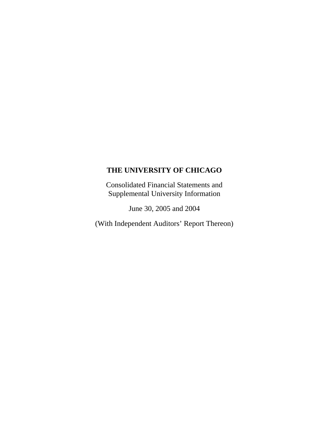Consolidated Financial Statements and Supplemental University Information

June 30, 2005 and 2004

(With Independent Auditors' Report Thereon)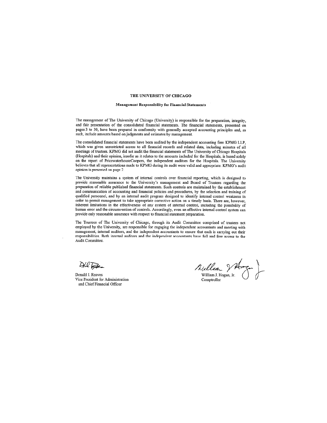#### **Management Responsibility for Financial Statements**

The management of The University of Chicago (University) is responsible for the preparation, integrity, and fair presentation of the consolidated financial statements. The financial statements, presented on pages 3 to 30, have been prepared in conformity with generally accepted accounting principles and, as such, include amounts based on judgments and estimates by management.

The consolidated financial statements have been audited by the independent accounting firm KPMG LLP, which was given unrestricted access to all financial records and related data, including minutes of all meetings of trustees. KPMG did not audit the financial statements of The University of Chicago Hospitals (Hospitals) and their opinion, insofar as it relates to the amounts included for the Hospitals, is based solely on the report of PricewaterhouseCoopers, the independent auditors for the Hospitals. The University believes that all representations made to KPMG during its audit were valid and appropriate. KPMG's audit opinion is presented on page 2.

The University maintains a system of internal controls over financial reporting, which is designed to provide reasonable assurance to the University's management and Board of Trustees regarding the preparation of reliable published financial statements. Such controls are maintained by the establishment and communication of accounting and financial policies and procedures, by the selection and training of qualified personnel, and by an internal audit program designed to identify internal control weakness in order to permit management to take appropriate corrective action on a timely basis. There are, however, inherent limitations in the effectiveness of any system of internal control, including the possibility of human error and the circumvention of controls. Accordingly, even an effective internal control system can provide only reasonable assurance with respect to financial statement preparation.

The Trustees of The University of Chicago, through its Audit Committee comprised of trustees not employed by the University, are responsible for engaging the independent accountants and meeting with management, internal auditors, and the independent accountants to ensure that each is carrying out their responsibilities. Both internal auditors and the independent accountants have full and free access to the Audit Committee.

 $W\rightarrow\infty$ 

Donald J. Reaves Vice President for Administration and Chief Financial Officer

William VAs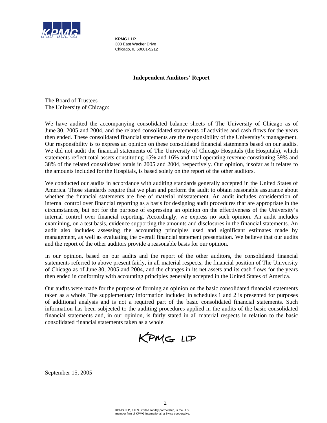

**KPMG LLP** 303 East Wacker Drive Chicago, IL 60601-5212

## **Independent Auditors' Report**

The Board of Trustees The University of Chicago:

We have audited the accompanying consolidated balance sheets of The University of Chicago as of June 30, 2005 and 2004, and the related consolidated statements of activities and cash flows for the years then ended. These consolidated financial statements are the responsibility of the University's management. Our responsibility is to express an opinion on these consolidated financial statements based on our audits. We did not audit the financial statements of The University of Chicago Hospitals (the Hospitals), which statements reflect total assets constituting 15% and 16% and total operating revenue constituting 39% and 38% of the related consolidated totals in 2005 and 2004, respectively. Our opinion, insofar as it relates to the amounts included for the Hospitals, is based solely on the report of the other auditors.

We conducted our audits in accordance with auditing standards generally accepted in the United States of America. Those standards require that we plan and perform the audit to obtain reasonable assurance about whether the financial statements are free of material misstatement. An audit includes consideration of internal control over financial reporting as a basis for designing audit procedures that are appropriate in the circumstances, but not for the purpose of expressing an opinion on the effectiveness of the University's internal control over financial reporting. Accordingly, we express no such opinion. An audit includes examining, on a test basis, evidence supporting the amounts and disclosures in the financial statements. An audit also includes assessing the accounting principles used and significant estimates made by management, as well as evaluating the overall financial statement presentation. We believe that our audits and the report of the other auditors provide a reasonable basis for our opinion.

In our opinion, based on our audits and the report of the other auditors, the consolidated financial statements referred to above present fairly, in all material respects, the financial position of The University of Chicago as of June 30, 2005 and 2004, and the changes in its net assets and its cash flows for the years then ended in conformity with accounting principles generally accepted in the United States of America.

Our audits were made for the purpose of forming an opinion on the basic consolidated financial statements taken as a whole. The supplementary information included in schedules 1 and 2 is presented for purposes of additional analysis and is not a required part of the basic consolidated financial statements. Such information has been subjected to the auditing procedures applied in the audits of the basic consolidated financial statements and, in our opinion, is fairly stated in all material respects in relation to the basic consolidated financial statements taken as a whole.



September 15, 2005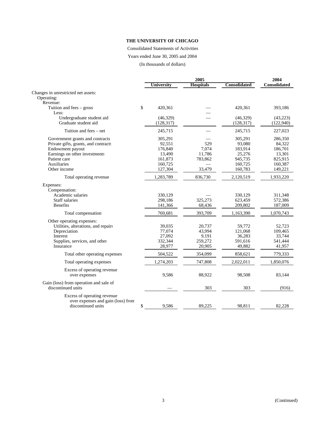Consolidated Statements of Activities

Years ended June 30, 2005 and 2004

(In thousands of dollars)

|                                        |                   |                  | 2004                |                     |
|----------------------------------------|-------------------|------------------|---------------------|---------------------|
|                                        | <b>University</b> | <b>Hospitals</b> | <b>Consolidated</b> | <b>Consolidated</b> |
| Changes in unrestricted net assets:    |                   |                  |                     |                     |
| Operating:                             |                   |                  |                     |                     |
| Revenue:                               |                   |                  |                     |                     |
| Tuition and fees - gross               | \$<br>420,361     |                  | 420,361             | 393,186             |
| Less:                                  |                   |                  |                     |                     |
| Undergraduate student aid              | (46, 329)         |                  | (46,329)            | (43,223)            |
| Graduate student aid                   | (128, 317)        |                  | (128, 317)          | (122, 940)          |
| Tuition and fees – net                 | 245,715           |                  | 245,715             | 227,023             |
| Government grants and contracts        | 305,291           |                  | 305,291             | 286,350             |
| Private gifts, grants, and contracts   | 92,551            | 529              | 93,080              | 84,322              |
| Endowment payout                       | 176,840           | 7,074            | 183,914             | 186,701             |
| Earnings on other investments          | 13,490            | 11,786           | 25,276              | 13,301              |
| Patient care                           | 161,873           | 783,862          | 945,735             | 825,915             |
| Auxiliaries                            | 160,725           |                  | 160,725             | 160,387             |
| Other income                           | 127,304           | 33,479           | 160,783             | 149,221             |
| Total operating revenue                | 1,283,789         | 836,730          | 2,120,519           | 1,933,220           |
| Expenses:                              |                   |                  |                     |                     |
| Compensation:                          |                   |                  |                     |                     |
| Academic salaries                      | 330,129           |                  | 330,129             | 311,348             |
| <b>Staff salaries</b>                  | 298,186           | 325,273          | 623,459             | 572,386             |
| <b>Benefits</b>                        | 141,366           | 68,436           | 209,802             | 187,009             |
| Total compensation                     | 769,681           | 393,709          | 1,163,390           | 1,070,743           |
| Other operating expenses:              |                   |                  |                     |                     |
| Utilities, alterations, and repairs    | 39,035            | 20,737           | 59,772              | 52,723              |
| Depreciation                           | 77,074            | 43,994           | 121,068             | 109,465             |
| Interest                               | 27,092            | 9,191            | 36,283              | 33,744              |
| Supplies, services, and other          | 332,344           | 259,272          | 591,616             | 541,444             |
| Insurance                              | 28,977            | 20,905           | 49,882              | 41,957              |
| Total other operating expenses         | 504,522           | 354,099          | 858,621             | 779,333             |
| Total operating expenses               | 1,274,203         | 747,808          | 2,022,011           | 1,850,076           |
| Excess of operating revenue            |                   |                  |                     |                     |
| over expenses                          | 9,586             | 88,922           | 98,508              | 83,144              |
| Gain (loss) from operation and sale of |                   |                  |                     |                     |
| discontinued units                     |                   | 303              | 303                 | (916)               |
| Excess of operating revenue            |                   |                  |                     |                     |
| over expenses and gain (loss) from     |                   |                  |                     |                     |
| discontinued units                     | \$<br>9,586       | 89,225           | 98,811              | 82,228              |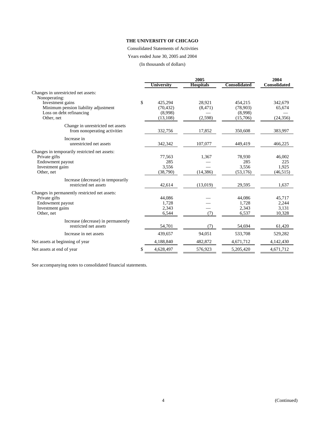#### Consolidated Statements of Activities

#### Years ended June 30, 2005 and 2004

(In thousands of dollars)

|                                                      |                 | 2004             |                     |                     |
|------------------------------------------------------|-----------------|------------------|---------------------|---------------------|
|                                                      | University      | <b>Hospitals</b> | <b>Consolidated</b> | <b>Consolidated</b> |
| Changes in unrestricted net assets:<br>Nonoperating: |                 |                  |                     |                     |
| Investment gains                                     | \$<br>425,294   | 28,921           | 454,215             | 342,679             |
| Minimum pension liability adjustment                 | (70, 432)       | (8, 471)         | (78,903)            | 65,674              |
| Loss on debt refinancing                             | (8,998)         |                  | (8,998)             |                     |
| Other, net                                           | (13, 108)       | (2,598)          | (15,706)            | (24, 356)           |
| Change in unrestricted net assets                    |                 |                  |                     |                     |
| from nonoperating activities                         | 332,756         | 17,852           | 350,608             | 383,997             |
| Increase in                                          |                 |                  |                     |                     |
| unrestricted net assets                              | 342,342         | 107,077          | 449,419             | 466,225             |
| Changes in temporarily restricted net assets:        |                 |                  |                     |                     |
| Private gifts                                        | 77,563          | 1,367            | 78,930              | 46,002              |
| Endowment payout                                     | 285             |                  | 285                 | 225                 |
| Investment gains                                     | 3,556           |                  | 3,556               | 1,925               |
| Other, net                                           | (38,790)        | (14, 386)        | (53, 176)           | (46, 515)           |
| Increase (decrease) in temporarily                   |                 |                  |                     |                     |
| restricted net assets                                | 42,614          | (13,019)         | 29,595              | 1,637               |
| Changes in permanently restricted net assets:        |                 |                  |                     |                     |
| Private gifts                                        | 44,086          |                  | 44,086              | 45,717              |
| Endowment payout                                     | 1,728           |                  | 1,728               | 2,244               |
| Investment gains                                     | 2,343           |                  | 2,343               | 3,131               |
| Other, net                                           | 6,544           | (7)              | 6,537               | 10,328              |
| Increase (decrease) in permanently                   |                 |                  |                     |                     |
| restricted net assets                                | 54,701          | (7)              | 54,694              | 61,420              |
| Increase in net assets                               | 439,657         | 94,051           | 533,708             | 529,282             |
| Net assets at beginning of year                      | 4,188,840       | 482,872          | 4,671,712           | 4,142,430           |
| Net assets at end of year                            | \$<br>4,628,497 | 576,923          | 5,205,420           | 4,671,712           |

See accompanying notes to consolidated financial statements.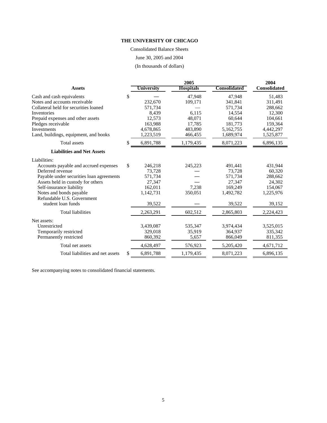Consolidated Balance Sheets

June 30, 2005 and 2004

(In thousands of dollars)

|                                          |                 | 2005             |                     | 2004         |
|------------------------------------------|-----------------|------------------|---------------------|--------------|
| <b>Assets</b>                            | University      | <b>Hospitals</b> | <b>Consolidated</b> | Consolidated |
| Cash and cash equivalents                | \$              | 47,948           | 47,948              | 51,483       |
| Notes and accounts receivable            | 232,670         | 109,171          | 341,841             | 311,491      |
| Collateral held for securities loaned    | 571,734         |                  | 571,734             | 288,662      |
| Inventories                              | 8,439           | 6,115            | 14,554              | 12,300       |
| Prepaid expenses and other assets        | 12,573          | 48,071           | 60,644              | 104,661      |
| Pledges receivable                       | 163,988         | 17,785           | 181,773             | 159,364      |
| Investments                              | 4,678,865       | 483,890          | 5,162,755           | 4,442,297    |
| Land, buildings, equipment, and books    | 1,223,519       | 466,455          | 1,689,974           | 1,525,877    |
| <b>Total assets</b>                      | \$<br>6,891,788 | 1,179,435        | 8,071,223           | 6,896,135    |
| <b>Liabilities and Net Assets</b>        |                 |                  |                     |              |
| Liabilities:                             |                 |                  |                     |              |
| Accounts payable and accrued expenses    | \$<br>246,218   | 245,223          | 491,441             | 431,944      |
| Deferred revenue                         | 73,728          |                  | 73,728              | 60,320       |
| Payable under securities loan agreements | 571,734         |                  | 571,734             | 288,662      |
| Assets held in custody for others        | 27,347          |                  | 27,347              | 24,302       |
| Self-insurance liability                 | 162,011         | 7,238            | 169,249             | 154,067      |
| Notes and bonds payable                  | 1,142,731       | 350,051          | 1,492,782           | 1,225,976    |
| Refundable U.S. Government               |                 |                  |                     |              |
| student loan funds                       | 39,522          |                  | 39,522              | 39,152       |
| <b>Total liabilities</b>                 | 2,263,291       | 602,512          | 2,865,803           | 2,224,423    |
| Net assets:                              |                 |                  |                     |              |
| Unrestricted                             | 3,439,087       | 535,347          | 3,974,434           | 3,525,015    |
| Temporarily restricted                   | 329,018         | 35,919           | 364,937             | 335,342      |
| Permanently restricted                   | 860,392         | 5,657            | 866,049             | 811,355      |
| Total net assets                         | 4,628,497       | 576,923          | 5,205,420           | 4,671,712    |
| Total liabilities and net assets         | \$<br>6,891,788 | 1,179,435        | 8,071,223           | 6,896,135    |

See accompanying notes to consolidated financial statements.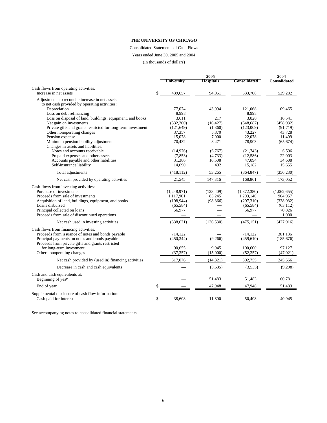#### Consolidated Statements of Cash Flows

Years ended June 30, 2005 and 2004

(In thousands of dollars)

|                                                              |               | 2004             |                     |                     |
|--------------------------------------------------------------|---------------|------------------|---------------------|---------------------|
|                                                              | Universitv    | <b>Hospitals</b> | <b>Consolidated</b> | <b>Consolidated</b> |
| Cash flows from operating activities:                        |               |                  |                     |                     |
| Increase in net assets                                       | \$<br>439,657 | 94,051           | 533,708             | 529,282             |
| Adjustments to reconcile increase in net assets              |               |                  |                     |                     |
| to net cash provided by operating activities:                |               |                  |                     |                     |
| Depreciation                                                 | 77,074        | 43,994           | 121,068             | 109,465             |
| Loss on debt refinancing                                     | 8,998         |                  | 8,998               |                     |
| Loss on disposal of land, buildings, equipment, and books    | 3,611         | 217              | 3,828               | 16.541              |
| Net gain on investments                                      | (532, 260)    | (16, 427)        | (548, 687)          | (458, 932)          |
| Private gifts and grants restricted for long-term investment | (121, 649)    | (1,360)          | (123,009)           | (91, 719)           |
| Other nonoperating changes                                   | 37,357        | 5,870            | 43,227              | 43,728              |
| Pension expense                                              | 15,078        | 7,000            | 22,078              | 11,499              |
| Minimum pension liability adjustment                         | 70,432        | 8,471            | 78,903              | (65, 674)           |
| Changes in assets and liabilities:                           |               |                  |                     |                     |
| Notes and accounts receivable                                | (14,976)      | (6,767)          | (21,743)            | 6,596               |
| Prepaid expenses and other assets                            | (7, 853)      | (4,733)          | (12, 586)           | 22,003              |
| Accounts payable and other liabilities                       | 31,386        | 16,508           | 47,894              | 34,608              |
| Self-insurance liability                                     | 14,690        | 492              | 15,182              | 15,655              |
| Total adjustments                                            | (418, 112)    | 53,265           | (364, 847)          | (356, 230)          |
| Net cash provided by operating activities                    | 21,545        | 147,316          | 168,861             | 173,052             |
| Cash flows from investing activities:                        |               |                  |                     |                     |
| Purchase of investments                                      | (1,248,971)   | (123, 409)       | (1,372,380)         | (1,062,655)         |
| Proceeds from sale of investments                            | 1,117,901     | 85,245           | 1,203,146           | 964,957             |
| Acquisition of land, buildings, equipment, and books         | (198, 944)    | (98, 366)        | (297,310)           | (338, 932)          |
| Loans disbursed                                              | (65, 584)     |                  | (65, 584)           | (63, 112)           |
| Principal collected on loans                                 | 56,977        |                  | 56,977              | 70,826              |
| Proceeds from sale of discontinued operations                |               |                  |                     | 1,000               |
| Net cash used in investing activities                        | (338, 621)    | (136, 530)       | (475, 151)          | (427, 916)          |
| Cash flows from financing activities:                        |               |                  |                     |                     |
| Proceeds from issuance of notes and bonds payable            | 714,122       |                  | 714,122             | 381,136             |
| Principal payments on notes and bonds payable                | (450, 344)    | (9,266)          | (459, 610)          | (185, 676)          |
| Proceeds from private gifts and grants restricted            |               |                  |                     |                     |
| for long-term investment                                     | 90,655        | 9,945            | 100,600             | 97,127              |
| Other nonoperating changes                                   | (37, 357)     | (15,000)         | (52, 357)           | (47, 021)           |
|                                                              |               |                  |                     |                     |
| Net cash provided by (used in) financing activities          | 317,076       | (14, 321)        | 302,755             | 245,566             |
| Decrease in cash and cash equivalents                        |               | (3,535)          | (3,535)             | (9,298)             |
| Cash and cash equivalents at:                                |               |                  |                     |                     |
| Beginning of year                                            |               | 51,483           | 51,483              | 60,781              |
| End of year                                                  | \$            | 47,948           | 47,948              | 51,483              |
| Supplemental disclosure of cash flow information:            |               |                  |                     |                     |
| Cash paid for interest                                       | \$<br>38,608  | 11,800           | 50,408              | 40.945              |

See accompanying notes to consolidated financial statements.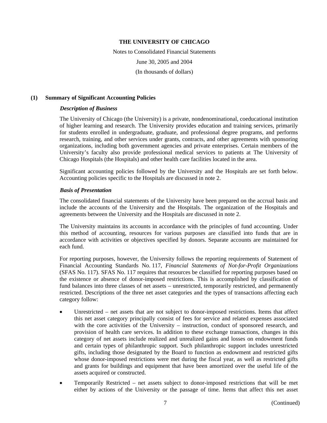Notes to Consolidated Financial Statements June 30, 2005 and 2004 (In thousands of dollars)

#### **(1) Summary of Significant Accounting Policies**

#### *Description of Business*

The University of Chicago (the University) is a private, nondenominational, coeducational institution of higher learning and research. The University provides education and training services, primarily for students enrolled in undergraduate, graduate, and professional degree programs, and performs research, training, and other services under grants, contracts, and other agreements with sponsoring organizations, including both government agencies and private enterprises. Certain members of the University's faculty also provide professional medical services to patients at The University of Chicago Hospitals (the Hospitals) and other health care facilities located in the area.

Significant accounting policies followed by the University and the Hospitals are set forth below. Accounting policies specific to the Hospitals are discussed in note 2.

#### *Basis of Presentation*

The consolidated financial statements of the University have been prepared on the accrual basis and include the accounts of the University and the Hospitals. The organization of the Hospitals and agreements between the University and the Hospitals are discussed in note 2.

The University maintains its accounts in accordance with the principles of fund accounting. Under this method of accounting, resources for various purposes are classified into funds that are in accordance with activities or objectives specified by donors. Separate accounts are maintained for each fund.

For reporting purposes, however, the University follows the reporting requirements of Statement of Financial Accounting Standards No. 117, *Financial Statements of Not-for-Profit Organizations* (SFAS No. 117). SFAS No. 117 requires that resources be classified for reporting purposes based on the existence or absence of donor-imposed restrictions. This is accomplished by classification of fund balances into three classes of net assets – unrestricted, temporarily restricted, and permanently restricted. Descriptions of the three net asset categories and the types of transactions affecting each category follow:

- Unrestricted net assets that are not subject to donor-imposed restrictions. Items that affect this net asset category principally consist of fees for service and related expenses associated with the core activities of the University – instruction, conduct of sponsored research, and provision of health care services. In addition to these exchange transactions, changes in this category of net assets include realized and unrealized gains and losses on endowment funds and certain types of philanthropic support. Such philanthropic support includes unrestricted gifts, including those designated by the Board to function as endowment and restricted gifts whose donor-imposed restrictions were met during the fiscal year, as well as restricted gifts and grants for buildings and equipment that have been amortized over the useful life of the assets acquired or constructed.
- Temporarily Restricted net assets subject to donor-imposed restrictions that will be met either by actions of the University or the passage of time. Items that affect this net asset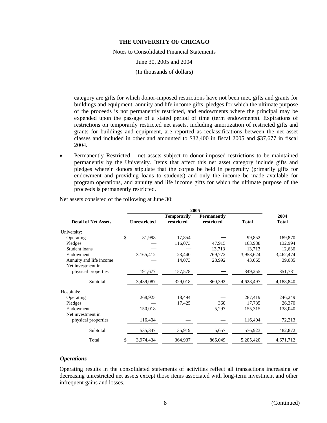Notes to Consolidated Financial Statements

June 30, 2005 and 2004

(In thousands of dollars)

category are gifts for which donor-imposed restrictions have not been met, gifts and grants for buildings and equipment, annuity and life income gifts, pledges for which the ultimate purpose of the proceeds is not permanently restricted, and endowments where the principal may be expended upon the passage of a stated period of time (term endowments). Expirations of restrictions on temporarily restricted net assets, including amortization of restricted gifts and grants for buildings and equipment, are reported as reclassifications between the net asset classes and included in other and amounted to \$32,400 in fiscal 2005 and \$37,677 in fiscal 2004.

• Permanently Restricted – net assets subject to donor-imposed restrictions to be maintained permanently by the University. Items that affect this net asset category include gifts and pledges wherein donors stipulate that the corpus be held in perpetuity (primarily gifts for endowment and providing loans to students) and only the income be made available for program operations, and annuity and life income gifts for which the ultimate purpose of the proceeds is permanently restricted.

|                             | 2005                |                                  |                                  |              |                      |  |  |  |  |  |
|-----------------------------|---------------------|----------------------------------|----------------------------------|--------------|----------------------|--|--|--|--|--|
| <b>Detail of Net Assets</b> | <b>Unrestricted</b> | <b>Temporarily</b><br>restricted | <b>Permanently</b><br>restricted | <b>Total</b> | 2004<br><b>Total</b> |  |  |  |  |  |
| University:                 |                     |                                  |                                  |              |                      |  |  |  |  |  |
| Operating                   | \$<br>81,998        | 17,854                           |                                  | 99,852       | 189,870              |  |  |  |  |  |
| Pledges                     |                     | 116,073                          | 47,915                           | 163,988      | 132,994              |  |  |  |  |  |
| Student loans               |                     |                                  | 13,713                           | 13,713       | 12,636               |  |  |  |  |  |
| Endowment                   | 3,165,412           | 23,440                           | 769,772                          | 3,958,624    | 3,462,474            |  |  |  |  |  |
| Annuity and life income     |                     | 14,073                           | 28,992                           | 43,065       | 39,085               |  |  |  |  |  |
| Net investment in           |                     |                                  |                                  |              |                      |  |  |  |  |  |
| physical properties         | 191,677             | 157,578                          |                                  | 349,255      | 351,781              |  |  |  |  |  |
| Subtotal                    | 3,439,087           | 329,018                          | 860,392                          | 4,628,497    | 4,188,840            |  |  |  |  |  |
| Hospitals:                  |                     |                                  |                                  |              |                      |  |  |  |  |  |
| Operating                   | 268,925             | 18,494                           |                                  | 287,419      | 246,249              |  |  |  |  |  |
| Pledges                     |                     | 17,425                           | 360                              | 17,785       | 26,370               |  |  |  |  |  |
| Endowment                   | 150,018             |                                  | 5,297                            | 155,315      | 138,040              |  |  |  |  |  |
| Net investment in           |                     |                                  |                                  |              |                      |  |  |  |  |  |
| physical properties         | 116,404             |                                  |                                  | 116,404      | 72,213               |  |  |  |  |  |
| Subtotal                    | 535,347             | 35,919                           | 5,657                            | 576,923      | 482,872              |  |  |  |  |  |
| Total                       | \$<br>3,974,434     | 364,937                          | 866,049                          | 5,205,420    | 4,671,712            |  |  |  |  |  |

Net assets consisted of the following at June 30:

#### *Operations*

Operating results in the consolidated statements of activities reflect all transactions increasing or decreasing unrestricted net assets except those items associated with long-term investment and other infrequent gains and losses.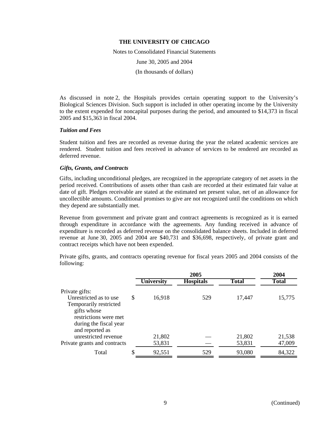Notes to Consolidated Financial Statements June 30, 2005 and 2004 (In thousands of dollars)

As discussed in note 2, the Hospitals provides certain operating support to the University's Biological Sciences Division. Such support is included in other operating income by the University to the extent expended for noncapital purposes during the period, and amounted to \$14,373 in fiscal 2005 and \$15,363 in fiscal 2004.

#### *Tuition and Fees*

Student tuition and fees are recorded as revenue during the year the related academic services are rendered. Student tuition and fees received in advance of services to be rendered are recorded as deferred revenue.

#### *Gifts, Grants, and Contracts*

Gifts, including unconditional pledges, are recognized in the appropriate category of net assets in the period received. Contributions of assets other than cash are recorded at their estimated fair value at date of gift. Pledges receivable are stated at the estimated net present value, net of an allowance for uncollectible amounts. Conditional promises to give are not recognized until the conditions on which they depend are substantially met.

Revenue from government and private grant and contract agreements is recognized as it is earned through expenditure in accordance with the agreements. Any funding received in advance of expenditure is recorded as deferred revenue on the consolidated balance sheets. Included in deferred revenue at June 30, 2005 and 2004 are \$40,731 and \$36,698, respectively, of private grant and contract receipts which have not been expended.

Private gifts, grants, and contracts operating revenue for fiscal years 2005 and 2004 consists of the following:

|                   | 2004             |              |                  |
|-------------------|------------------|--------------|------------------|
| <b>University</b> | <b>Hospitals</b> | <b>Total</b> | <b>Total</b>     |
|                   |                  |              |                  |
| \$<br>16,918      | 529              | 17,447       | 15,775           |
|                   |                  |              |                  |
|                   |                  |              |                  |
|                   |                  |              |                  |
|                   |                  |              |                  |
|                   |                  |              |                  |
|                   |                  |              | 21,538           |
|                   |                  |              | 47,009           |
| \$<br>92,551      | 529              | 93,080       | 84,322           |
|                   | 21,802<br>53,831 | 2005         | 21,802<br>53,831 |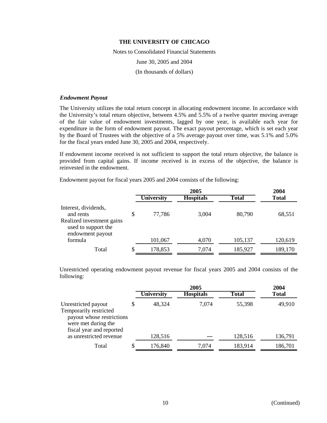Notes to Consolidated Financial Statements June 30, 2005 and 2004 (In thousands of dollars)

#### *Endowment Payout*

The University utilizes the total return concept in allocating endowment income. In accordance with the University's total return objective, between 4.5% and 5.5% of a twelve quarter moving average of the fair value of endowment investments, lagged by one year, is available each year for expenditure in the form of endowment payout. The exact payout percentage, which is set each year by the Board of Trustees with the objective of a 5% average payout over time, was 5.1% and 5.0% for the fiscal years ended June 30, 2005 and 2004, respectively.

If endowment income received is not sufficient to support the total return objective, the balance is provided from capital gains. If income received is in excess of the objective, the balance is reinvested in the endowment.

Endowment payout for fiscal years 2005 and 2004 consists of the following:

|                                                                                                           |   |            | 2004             |              |              |
|-----------------------------------------------------------------------------------------------------------|---|------------|------------------|--------------|--------------|
|                                                                                                           |   | University | <b>Hospitals</b> | <b>Total</b> | <b>Total</b> |
| Interest, dividends,<br>and rents<br>Realized investment gains<br>used to support the<br>endowment payout | S | 77,786     | 3,004            | 80,790       | 68,551       |
| formula                                                                                                   |   | 101,067    | 4,070            | 105,137      | 120,619      |
| Total                                                                                                     | S | 178,853    | 7,074            | 185,927      | 189,170      |

Unrestricted operating endowment payout revenue for fiscal years 2005 and 2004 consists of the following:

|                                                                                                                               |               | 2004             |              |              |
|-------------------------------------------------------------------------------------------------------------------------------|---------------|------------------|--------------|--------------|
|                                                                                                                               | University    | <b>Hospitals</b> | <b>Total</b> | <b>Total</b> |
| Unrestricted payout<br>Temporarily restricted<br>payout whose restrictions<br>were met during the<br>fiscal year and reported | \$<br>48,324  | 7,074            | 55,398       | 49,910       |
| as unrestricted revenue                                                                                                       | 128,516       |                  | 128,516      | 136,791      |
| Total                                                                                                                         | \$<br>176,840 | 7.074            | 183,914      | 186,701      |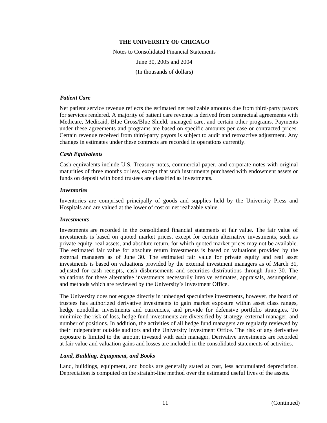Notes to Consolidated Financial Statements June 30, 2005 and 2004 (In thousands of dollars)

#### *Patient Care*

Net patient service revenue reflects the estimated net realizable amounts due from third-party payors for services rendered. A majority of patient care revenue is derived from contractual agreements with Medicare, Medicaid, Blue Cross/Blue Shield, managed care, and certain other programs. Payments under these agreements and programs are based on specific amounts per case or contracted prices. Certain revenue received from third-party payors is subject to audit and retroactive adjustment. Any changes in estimates under these contracts are recorded in operations currently.

#### *Cash Equivalents*

Cash equivalents include U.S. Treasury notes, commercial paper, and corporate notes with original maturities of three months or less, except that such instruments purchased with endowment assets or funds on deposit with bond trustees are classified as investments.

#### *Inventories*

Inventories are comprised principally of goods and supplies held by the University Press and Hospitals and are valued at the lower of cost or net realizable value.

#### *Investments*

Investments are recorded in the consolidated financial statements at fair value. The fair value of investments is based on quoted market prices, except for certain alternative investments, such as private equity, real assets, and absolute return, for which quoted market prices may not be available. The estimated fair value for absolute return investments is based on valuations provided by the external managers as of June 30. The estimated fair value for private equity and real asset investments is based on valuations provided by the external investment managers as of March 31, adjusted for cash receipts, cash disbursements and securities distributions through June 30. The valuations for these alternative investments necessarily involve estimates, appraisals, assumptions, and methods which are reviewed by the University's Investment Office.

The University does not engage directly in unhedged speculative investments, however, the board of trustees has authorized derivative investments to gain market exposure within asset class ranges, hedge nondollar investments and currencies, and provide for defensive portfolio strategies. To minimize the risk of loss, hedge fund investments are diversified by strategy, external manager, and number of positions. In addition, the activities of all hedge fund managers are regularly reviewed by their independent outside auditors and the University Investment Office. The risk of any derivative exposure is limited to the amount invested with each manager. Derivative investments are recorded at fair value and valuation gains and losses are included in the consolidated statements of activities.

#### *Land, Building, Equipment, and Books*

Land, buildings, equipment, and books are generally stated at cost, less accumulated depreciation. Depreciation is computed on the straight-line method over the estimated useful lives of the assets.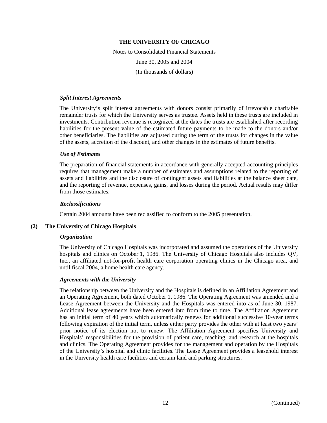Notes to Consolidated Financial Statements June 30, 2005 and 2004 (In thousands of dollars)

#### *Split Interest Agreements*

The University's split interest agreements with donors consist primarily of irrevocable charitable remainder trusts for which the University serves as trustee. Assets held in these trusts are included in investments. Contribution revenue is recognized at the dates the trusts are established after recording liabilities for the present value of the estimated future payments to be made to the donors and/or other beneficiaries. The liabilities are adjusted during the term of the trusts for changes in the value of the assets, accretion of the discount, and other changes in the estimates of future benefits.

#### *Use of Estimates*

The preparation of financial statements in accordance with generally accepted accounting principles requires that management make a number of estimates and assumptions related to the reporting of assets and liabilities and the disclosure of contingent assets and liabilities at the balance sheet date, and the reporting of revenue, expenses, gains, and losses during the period. Actual results may differ from those estimates.

#### *Reclassifications*

Certain 2004 amounts have been reclassified to conform to the 2005 presentation.

#### **(2) The University of Chicago Hospitals**

#### *Organization*

The University of Chicago Hospitals was incorporated and assumed the operations of the University hospitals and clinics on October 1, 1986. The University of Chicago Hospitals also includes QV, Inc., an affiliated not-for-profit health care corporation operating clinics in the Chicago area, and until fiscal 2004, a home health care agency.

#### *Agreements with the University*

The relationship between the University and the Hospitals is defined in an Affiliation Agreement and an Operating Agreement, both dated October 1, 1986. The Operating Agreement was amended and a Lease Agreement between the University and the Hospitals was entered into as of June 30, 1987. Additional lease agreements have been entered into from time to time. The Affiliation Agreement has an initial term of 40 years which automatically renews for additional successive 10-year terms following expiration of the initial term, unless either party provides the other with at least two years' prior notice of its election not to renew. The Affiliation Agreement specifies University and Hospitals' responsibilities for the provision of patient care, teaching, and research at the hospitals and clinics. The Operating Agreement provides for the management and operation by the Hospitals of the University's hospital and clinic facilities. The Lease Agreement provides a leasehold interest in the University health care facilities and certain land and parking structures.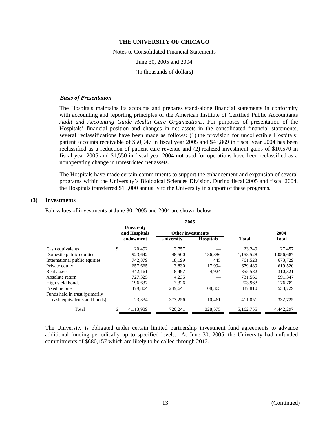Notes to Consolidated Financial Statements June 30, 2005 and 2004 (In thousands of dollars)

#### *Basis of Presentation*

The Hospitals maintains its accounts and prepares stand-alone financial statements in conformity with accounting and reporting principles of the American Institute of Certified Public Accountants *Audit and Accounting Guide Health Care Organizations*. For purposes of presentation of the Hospitals' financial position and changes in net assets in the consolidated financial statements, several reclassifications have been made as follows: (1) the provision for uncollectible Hospitals' patient accounts receivable of \$50,947 in fiscal year 2005 and \$43,869 in fiscal year 2004 has been reclassified as a reduction of patient care revenue and (2) realized investment gains of \$10,570 in fiscal year 2005 and \$1,550 in fiscal year 2004 not used for operations have been reclassified as a nonoperating change in unrestricted net assets.

The Hospitals have made certain commitments to support the enhancement and expansion of several programs within the University's Biological Sciences Division. During fiscal 2005 and fiscal 2004, the Hospitals transferred \$15,000 annually to the University in support of these programs.

#### **(3) Investments**

Fair values of investments at June 30, 2005 and 2004 are shown below:

|                                | 2005                        |           |            |                          |              |              |  |  |  |
|--------------------------------|-----------------------------|-----------|------------|--------------------------|--------------|--------------|--|--|--|
|                                | University<br>and Hospitals |           |            | <b>Other investments</b> |              |              |  |  |  |
|                                |                             | endowment | University | <b>Hospitals</b>         | <b>Total</b> | <b>Total</b> |  |  |  |
| Cash equivalents               | \$                          | 20.492    | 2.757      |                          | 23.249       | 127,457      |  |  |  |
| Domestic public equities       |                             | 923,642   | 48,500     | 186,386                  | 1,158,528    | 1,056,687    |  |  |  |
| International public equities  |                             | 742,879   | 18.199     | 445                      | 761.523      | 673.729      |  |  |  |
| Private equity                 |                             | 657,665   | 3.830      | 17.994                   | 679.489      | 619.520      |  |  |  |
| Real assets                    |                             | 342.161   | 8,497      | 4,924                    | 355,582      | 310.321      |  |  |  |
| Absolute return                |                             | 727,325   | 4,235      |                          | 731,560      | 591,347      |  |  |  |
| High yield bonds               |                             | 196.637   | 7.326      |                          | 203.963      | 176,782      |  |  |  |
| Fixed income                   |                             | 479.804   | 249,641    | 108.365                  | 837,810      | 553.729      |  |  |  |
| Funds held in trust (primarily |                             |           |            |                          |              |              |  |  |  |
| cash equivalents and bonds)    |                             | 23,334    | 377,256    | 10,461                   | 411,051      | 332,725      |  |  |  |
| Total                          |                             | 4,113,939 | 720,241    | 328,575                  | 5,162,755    | 4,442,297    |  |  |  |

The University is obligated under certain limited partnership investment fund agreements to advance additional funding periodically up to specified levels. At June 30, 2005, the University had unfunded commitments of \$680,157 which are likely to be called through 2012.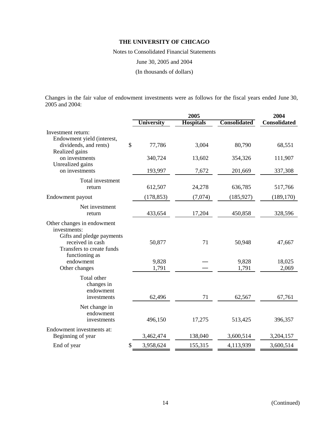Notes to Consolidated Financial Statements

June 30, 2005 and 2004

(In thousands of dollars)

Changes in the fair value of endowment investments were as follows for the fiscal years ended June 30, 2005 and 2004:

|                                                                                                                          |               |                   | 2005             |                     | 2004                |
|--------------------------------------------------------------------------------------------------------------------------|---------------|-------------------|------------------|---------------------|---------------------|
|                                                                                                                          |               | <b>University</b> | <b>Hospitals</b> | <b>Consolidated</b> | <b>Consolidated</b> |
| Investment return:                                                                                                       |               |                   |                  |                     |                     |
| Endowment yield (interest,<br>dividends, and rents)<br>Realized gains                                                    | $\mathcal{S}$ | 77,786            | 3,004            | 80,790              | 68,551              |
| on investments<br>Unrealized gains                                                                                       |               | 340,724           | 13,602           | 354,326             | 111,907             |
| on investments                                                                                                           |               | 193,997           | 7,672            | 201,669             | 337,308             |
| Total investment<br>return                                                                                               |               | 612,507           | 24,278           | 636,785             | 517,766             |
| Endowment payout                                                                                                         |               | (178, 853)        | (7,074)          | (185, 927)          | (189, 170)          |
| Net investment<br>return                                                                                                 |               | 433,654           | 17,204           | 450,858             | 328,596             |
| Other changes in endowment<br>investments:<br>Gifts and pledge payments<br>received in cash<br>Transfers to create funds |               | 50,877            | 71               | 50,948              | 47,667              |
| functioning as<br>endowment<br>Other changes                                                                             |               | 9,828<br>1,791    |                  | 9,828<br>1,791      | 18,025<br>2,069     |
| Total other<br>changes in<br>endowment<br>investments                                                                    |               | 62,496            | 71               | 62,567              | 67,761              |
| Net change in<br>endowment<br>investments                                                                                |               | 496,150           | 17,275           | 513,425             | 396,357             |
| Endowment investments at:<br>Beginning of year                                                                           |               | 3,462,474         | 138,040          | 3,600,514           | 3,204,157           |
| End of year                                                                                                              | \$            | 3,958,624         | 155,315          | 4,113,939           | 3,600,514           |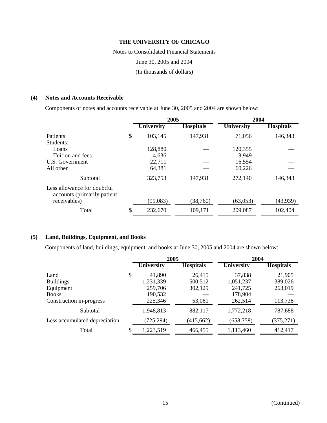Notes to Consolidated Financial Statements

June 30, 2005 and 2004

(In thousands of dollars)

#### **(4) Notes and Accounts Receivable**

Components of notes and accounts receivable at June 30, 2005 and 2004 are shown below:

|                                                            |                   | 2005             | 2004              |                  |  |
|------------------------------------------------------------|-------------------|------------------|-------------------|------------------|--|
|                                                            | <b>University</b> | <b>Hospitals</b> | <b>University</b> | <b>Hospitals</b> |  |
| Patients                                                   | \$<br>103,145     | 147,931          | 71,056            | 146,343          |  |
| Students:                                                  |                   |                  |                   |                  |  |
| Loans                                                      | 128,880           |                  | 120,355           |                  |  |
| Tuition and fees                                           | 4,636             |                  | 3,949             |                  |  |
| U.S. Government                                            | 22,711            |                  | 16,554            |                  |  |
| All other                                                  | 64,381            |                  | 60,226            |                  |  |
| Subtotal                                                   | 323,753           | 147,931          | 272,140           | 146,343          |  |
| Less allowance for doubtful<br>accounts (primarily patient |                   |                  |                   |                  |  |
| receivables)                                               | (91,083)          | (38, 760)        | (63, 053)         | (43,939)         |  |
| Total                                                      | 232,670           | 109,171          | 209,087           | 102,404          |  |

### **(5) Land, Buildings, Equipment, and Books**

Components of land, buildings, equipment, and books at June 30, 2005 and 2004 are shown below:

|                               |    | 2005              |                  | 2004              |                  |  |
|-------------------------------|----|-------------------|------------------|-------------------|------------------|--|
|                               |    | <b>University</b> | <b>Hospitals</b> | <b>University</b> | <b>Hospitals</b> |  |
| Land                          | \$ | 41,890            | 26,415           | 37,838            | 21,905           |  |
| <b>Buildings</b>              |    | 1,231,339         | 500,512          | 1,051,237         | 389,026          |  |
| Equipment                     |    | 259,706           | 302,129          | 241,725           | 263,019          |  |
| <b>Books</b>                  |    | 190,532           |                  | 178,904           |                  |  |
| Construction in-progress      |    | 225,346           | 53,061           | 262,514           | 113,738          |  |
| Subtotal                      |    | 1,948,813         | 882,117          | 1,772,218         | 787,688          |  |
| Less accumulated depreciation |    | (725, 294)        | (415, 662)       | (658, 758)        | (375, 271)       |  |
| Total                         | S  | 1,223,519         | 466,455          | 1,113,460         | 412,417          |  |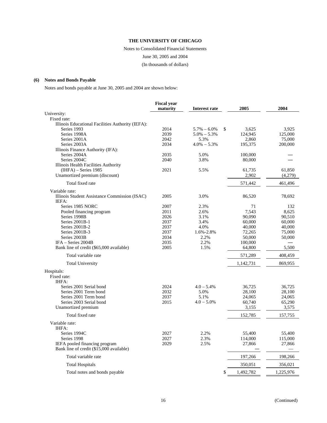# Notes to Consolidated Financial Statements June 30, 2005 and 2004

#### (In thousands of dollars)

## **(6) Notes and Bonds Payable**

Notes and bonds payable at June 30, 2005 and 2004 are shown below:

|                                                   | <b>Fiscal year</b> |                       |           |           |
|---------------------------------------------------|--------------------|-----------------------|-----------|-----------|
|                                                   | maturity           | Interest rate         | 2005      | 2004      |
| University:                                       |                    |                       |           |           |
| Fixed rate:                                       |                    |                       |           |           |
| Illinois Educational Facilities Authority (IEFA): |                    |                       |           |           |
| Series 1993                                       | 2014               | \$<br>$5.7\% - 6.0\%$ | 3,625     | 3,925     |
| Series 1998A                                      | 2039               | $5.0\% - 5.3\%$       | 124,945   | 125,000   |
| Series 2001A                                      | 2042               | 5.3%                  | 2,860     | 75,000    |
| Series 2003A                                      | 2034               | $4.0\% - 5.3\%$       | 195,375   | 200,000   |
| Illinois Finance Authority (IFA):                 |                    |                       |           |           |
| Series 2004A                                      | 2035               | 5.0%                  | 100,000   |           |
| Series 2004C                                      | 2040               | 3.8%                  | 80,000    |           |
| Illinois Health Facilities Authority              |                    |                       |           |           |
| $(IHFA)$ – Series 1985                            | 2021               | 5.5%                  | 61,735    | 61,850    |
| Unamortized premium (discount)                    |                    |                       | 2,902     | (4,279)   |
| Total fixed rate                                  |                    |                       | 571,442   | 461,496   |
| Variable rate:                                    |                    |                       |           |           |
| Illinois Student Assistance Commission (ISAC)     | 2005               | 3.0%                  | 86,520    | 78,692    |
| IEFA:                                             |                    |                       |           |           |
| Series 1985 NORC                                  | 2007               | 2.3%                  | 71        | 132       |
| Pooled financing program                          | 2011               | 2.6%                  | 7,543     | 8,625     |
| Series 1998B                                      | 2026               | 3.1%                  | 90,090    | 90,510    |
| Series 2001B-1                                    | 2037               | 3.4%                  | 60,000    | 60,000    |
| Series 2001B-2                                    | 2037               | 4.0%                  | 40,000    | 40,000    |
| Series 2001B-3                                    | 2037               | 1.6%-2.8%             | 72,265    | 75,000    |
| Series 2003B                                      | 2034               | 2.2%                  | 50,000    | 50,000    |
| IFA - Series 2004B                                | 2035               | 2.2%                  | 100,000   |           |
| Bank line of credit (\$65,000 available)          | 2005               | 1.5%                  | 64,800    | 5,500     |
| Total variable rate                               |                    |                       | 571,289   | 408,459   |
| <b>Total University</b>                           |                    |                       | 1,142,731 | 869,955   |
| Hospitals:                                        |                    |                       |           |           |
| Fixed rate:                                       |                    |                       |           |           |
| IHFA:                                             |                    |                       |           |           |
| Series 2001 Serial bond                           | 2024               | $4.0 - 5.4%$          | 36,725    | 36.725    |
| Series 2001 Term bond                             | 2032               | 5.0%                  | 28,100    | 28,100    |
| Series 2001 Term bond                             | 2037               | 5.1%                  | 24,065    | 24,065    |
| Series 2003 Serial bond                           | 2015               | $4.0 - 5.0\%$         | 60,740    | 65,290    |
| Unamortized premium                               |                    |                       | 3,155     | 3,575     |
| Total fixed rate                                  |                    |                       | 152,785   | 157,755   |
| Variable rate:                                    |                    |                       |           |           |
| IHFA:                                             |                    |                       |           |           |
| Series 1994C                                      | 2027               | 2.2%                  | 55,400    | 55,400    |
| Series 1998                                       | 2027               | 2.3%                  | 114,000   | 115,000   |
| IEFA pooled financing program                     | 2029               | 2.5%                  | 27,866    | 27,866    |
| Bank line of credit (\$15,000 available)          |                    |                       |           |           |
| Total variable rate                               |                    |                       | 197,266   | 198,266   |
| <b>Total Hospitals</b>                            |                    |                       | 350,051   | 356,021   |
| Total notes and bonds payable                     |                    | \$                    | 1,492,782 | 1,225,976 |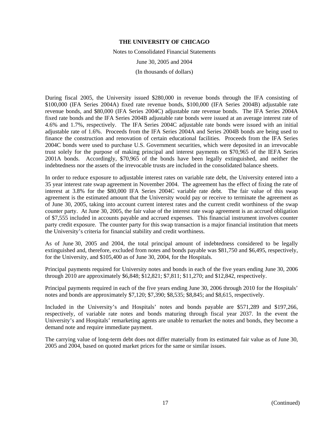Notes to Consolidated Financial Statements

June 30, 2005 and 2004

(In thousands of dollars)

During fiscal 2005, the University issued \$280,000 in revenue bonds through the IFA consisting of \$100,000 (IFA Series 2004A) fixed rate revenue bonds, \$100,000 (IFA Series 2004B) adjustable rate revenue bonds, and \$80,000 (IFA Series 2004C) adjustable rate revenue bonds. The IFA Series 2004A fixed rate bonds and the IFA Series 2004B adjustable rate bonds were issued at an average interest rate of 4.6% and 1.7%, respectively. The IFA Series 2004C adjustable rate bonds were issued with an initial adjustable rate of 1.6%. Proceeds from the IFA Series 2004A and Series 2004B bonds are being used to finance the construction and renovation of certain educational facilities. Proceeds from the IFA Series 2004C bonds were used to purchase U.S. Government securities, which were deposited in an irrevocable trust solely for the purpose of making principal and interest payments on \$70,965 of the IEFA Series 2001A bonds. Accordingly, \$70,965 of the bonds have been legally extinguished, and neither the indebtedness nor the assets of the irrevocable trusts are included in the consolidated balance sheets.

In order to reduce exposure to adjustable interest rates on variable rate debt, the University entered into a 35 year interest rate swap agreement in November 2004. The agreement has the effect of fixing the rate of interest at 3.8% for the \$80,000 IFA Series 2004C variable rate debt. The fair value of this swap agreement is the estimated amount that the University would pay or receive to terminate the agreement as of June 30, 2005, taking into account current interest rates and the current credit worthiness of the swap counter party. At June 30, 2005, the fair value of the interest rate swap agreement is an accrued obligation of \$7,555 included in accounts payable and accrued expenses. This financial instrument involves counter party credit exposure. The counter party for this swap transaction is a major financial institution that meets the University's criteria for financial stability and credit worthiness.

As of June 30, 2005 and 2004, the total principal amount of indebtedness considered to be legally extinguished and, therefore, excluded from notes and bonds payable was \$81,750 and \$6,495, respectively, for the University, and \$105,400 as of June 30, 2004, for the Hospitals.

Principal payments required for University notes and bonds in each of the five years ending June 30, 2006 through 2010 are approximately \$6,848; \$12,821; \$7,811; \$11,270; and \$12,842, respectively.

Principal payments required in each of the five years ending June 30, 2006 through 2010 for the Hospitals' notes and bonds are approximately \$7,120; \$7,390; \$8,535; \$8,845; and \$8,615, respectively.

Included in the University's and Hospitals' notes and bonds payable are \$571,289 and \$197,266, respectively, of variable rate notes and bonds maturing through fiscal year 2037. In the event the University's and Hospitals' remarketing agents are unable to remarket the notes and bonds, they become a demand note and require immediate payment.

The carrying value of long-term debt does not differ materially from its estimated fair value as of June 30, 2005 and 2004, based on quoted market prices for the same or similar issues.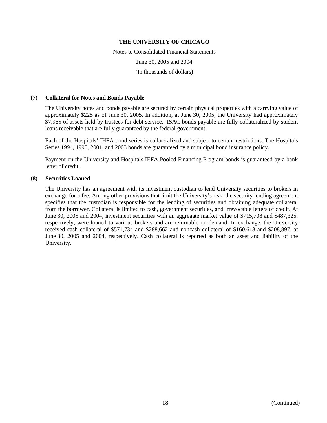Notes to Consolidated Financial Statements June 30, 2005 and 2004 (In thousands of dollars)

#### **(7) Collateral for Notes and Bonds Payable**

The University notes and bonds payable are secured by certain physical properties with a carrying value of approximately \$225 as of June 30, 2005. In addition, at June 30, 2005, the University had approximately \$7,965 of assets held by trustees for debt service. ISAC bonds payable are fully collateralized by student loans receivable that are fully guaranteed by the federal government.

Each of the Hospitals' IHFA bond series is collateralized and subject to certain restrictions. The Hospitals Series 1994, 1998, 2001, and 2003 bonds are guaranteed by a municipal bond insurance policy.

Payment on the University and Hospitals IEFA Pooled Financing Program bonds is guaranteed by a bank letter of credit.

#### **(8) Securities Loaned**

The University has an agreement with its investment custodian to lend University securities to brokers in exchange for a fee. Among other provisions that limit the University's risk, the security lending agreement specifies that the custodian is responsible for the lending of securities and obtaining adequate collateral from the borrower. Collateral is limited to cash, government securities, and irrevocable letters of credit. At June 30, 2005 and 2004, investment securities with an aggregate market value of \$715,708 and \$487,325, respectively, were loaned to various brokers and are returnable on demand. In exchange, the University received cash collateral of \$571,734 and \$288,662 and noncash collateral of \$160,618 and \$208,897, at June 30, 2005 and 2004, respectively. Cash collateral is reported as both an asset and liability of the University.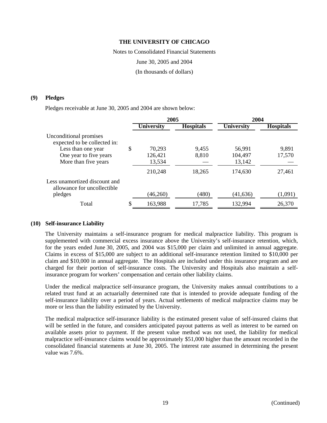Notes to Consolidated Financial Statements June 30, 2005 and 2004 (In thousands of dollars)

#### **(9) Pledges**

Pledges receivable at June 30, 2005 and 2004 are shown below:

|                                                              |               | 2005              |                  | 2004              |                  |
|--------------------------------------------------------------|---------------|-------------------|------------------|-------------------|------------------|
|                                                              |               | <b>University</b> | <b>Hospitals</b> | <b>University</b> | <b>Hospitals</b> |
| Unconditional promises<br>expected to be collected in:       |               |                   |                  |                   |                  |
| Less than one year                                           | <sup>\$</sup> | 70,293            | 9,455            | 56,991            | 9,891            |
| One year to five years                                       |               | 126,421           | 8,810            | 104,497           | 17,570           |
| More than five years                                         |               | 13,534            |                  | 13,142            |                  |
|                                                              |               | 210,248           | 18,265           | 174,630           | 27,461           |
| Less unamortized discount and<br>allowance for uncollectible |               |                   |                  |                   |                  |
| pledges                                                      |               | (46,260)          | (480)            | (41, 636)         | (1,091)          |
| Total                                                        |               | 163,988           | 17,785           | 132,994           | 26,370           |

#### **(10) Self-insurance Liability**

The University maintains a self-insurance program for medical malpractice liability. This program is supplemented with commercial excess insurance above the University's self-insurance retention, which, for the years ended June 30, 2005, and 2004 was \$15,000 per claim and unlimited in annual aggregate. Claims in excess of \$15,000 are subject to an additional self-insurance retention limited to \$10,000 per claim and \$10,000 in annual aggregate. The Hospitals are included under this insurance program and are charged for their portion of self-insurance costs. The University and Hospitals also maintain a selfinsurance program for workers' compensation and certain other liability claims.

Under the medical malpractice self-insurance program, the University makes annual contributions to a related trust fund at an actuarially determined rate that is intended to provide adequate funding of the self-insurance liability over a period of years. Actual settlements of medical malpractice claims may be more or less than the liability estimated by the University.

The medical malpractice self-insurance liability is the estimated present value of self-insured claims that will be settled in the future, and considers anticipated payout patterns as well as interest to be earned on available assets prior to payment. If the present value method was not used, the liability for medical malpractice self-insurance claims would be approximately \$51,000 higher than the amount recorded in the consolidated financial statements at June 30, 2005. The interest rate assumed in determining the present value was 7.6%.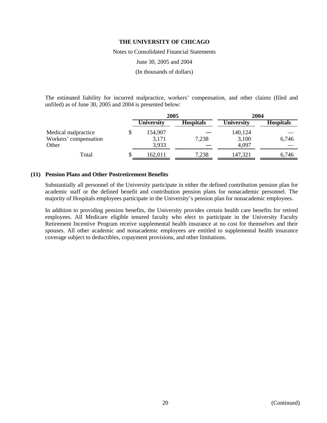Notes to Consolidated Financial Statements

June 30, 2005 and 2004

(In thousands of dollars)

The estimated liability for incurred malpractice, workers' compensation, and other claims (filed and unfiled) as of June 30, 2005 and 2004 is presented below:

|                       | 2005       |                  | 2004       |                  |
|-----------------------|------------|------------------|------------|------------------|
|                       | University | <b>Hospitals</b> | University | <b>Hospitals</b> |
| Medical malpractice   | 154,907    |                  | 140,124    |                  |
| Workers' compensation | 3,171      | 7,238            | 3,100      | 6,746            |
| Other                 | 3,933      |                  | 4,097      |                  |
| Total                 | 162,011    | 7,238            | 147,321    | 6,746            |

## **(11) Pension Plans and Other Postretirement Benefits**

Substantially all personnel of the University participate in either the defined contribution pension plan for academic staff or the defined benefit and contribution pension plans for nonacademic personnel. The majority of Hospitals employees participate in the University's pension plan for nonacademic employees.

In addition to providing pension benefits, the University provides certain health care benefits for retired employees. All Medicare eligible tenured faculty who elect to participate in the University Faculty Retirement Incentive Program receive supplemental health insurance at no cost for themselves and their spouses. All other academic and nonacademic employees are entitled to supplemental health insurance coverage subject to deductibles, copayment provisions, and other limitations.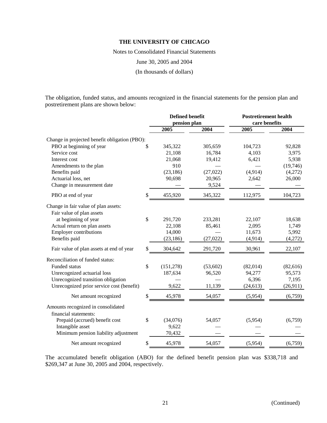Notes to Consolidated Financial Statements

June 30, 2005 and 2004

(In thousands of dollars)

The obligation, funded status, and amounts recognized in the financial statements for the pension plan and postretirement plans are shown below:

|                                               | <b>Defined benefit</b><br>pension plan |           | <b>Postretirement health</b><br>care benefits |           |
|-----------------------------------------------|----------------------------------------|-----------|-----------------------------------------------|-----------|
|                                               | 2005                                   | 2004      | 2005                                          | 2004      |
| Change in projected benefit obligation (PBO): |                                        |           |                                               |           |
| PBO at beginning of year                      | \$<br>345,322                          | 305,659   | 104,723                                       | 92,828    |
| Service cost                                  | 21,108                                 | 16,784    | 4,103                                         | 3,975     |
| Interest cost                                 | 21,068                                 | 19,412    | 6,421                                         | 5,938     |
| Amendments to the plan                        | 910                                    |           |                                               | (19,746)  |
| Benefits paid                                 | (23, 186)                              | (27, 022) | (4,914)                                       | (4,272)   |
| Actuarial loss, net                           | 90,698                                 | 20,965    | 2,642                                         | 26,000    |
| Change in measurement date                    |                                        | 9,524     |                                               |           |
| PBO at end of year                            | \$<br>455,920                          | 345,322   | 112,975                                       | 104,723   |
| Change in fair value of plan assets:          |                                        |           |                                               |           |
| Fair value of plan assets                     |                                        |           |                                               |           |
| at beginning of year                          | \$<br>291,720                          | 233,281   | 22,107                                        | 18,638    |
| Actual return on plan assets                  | 22,108                                 | 85,461    | 2,095                                         | 1,749     |
| <b>Employer contributions</b>                 | 14,000                                 |           | 11,673                                        | 5,992     |
| Benefits paid                                 | (23, 186)                              | (27, 022) | (4,914)                                       | (4,272)   |
| Fair value of plan assets at end of year      | \$<br>304,642                          | 291,720   | 30,961                                        | 22,107    |
| Reconciliation of funded status:              |                                        |           |                                               |           |
| Funded status                                 | \$<br>(151, 278)                       | (53,602)  | (82,014)                                      | (82, 616) |
| Unrecognized actuarial loss                   | 187,634                                | 96,520    | 94,277                                        | 95,573    |
| Unrecognized transition obligation            |                                        |           | 6,396                                         | 7,195     |
| Unrecognized prior service cost (benefit)     | 9,622                                  | 11,139    | (24, 613)                                     | (26,911)  |
| Net amount recognized                         | \$<br>45,978                           | 54,057    | (5,954)                                       | (6,759)   |
| Amounts recognized in consolidated            |                                        |           |                                               |           |
| financial statements:                         |                                        |           |                                               |           |
| Prepaid (accrued) benefit cost                | \$<br>(34,076)                         | 54,057    | (5,954)                                       | (6,759)   |
| Intangible asset                              | 9,622                                  |           |                                               |           |
| Minimum pension liability adjustment          | 70,432                                 |           |                                               |           |
| Net amount recognized                         | \$<br>45,978                           | 54,057    | (5,954)                                       | (6,759)   |

The accumulated benefit obligation (ABO) for the defined benefit pension plan was \$338,718 and \$269,347 at June 30, 2005 and 2004, respectively.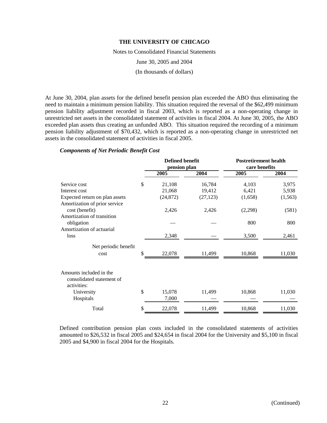Notes to Consolidated Financial Statements

June 30, 2005 and 2004

(In thousands of dollars)

At June 30, 2004, plan assets for the defined benefit pension plan exceeded the ABO thus eliminating the need to maintain a minimum pension liability. This situation required the reversal of the \$62,499 minimum pension liability adjustment recorded in fiscal 2003, which is reported as a non-operating change in unrestricted net assets in the consolidated statement of activities in fiscal 2004. At June 30, 2005, the ABO exceeded plan assets thus creating an unfunded ABO. This situation required the recording of a minimum pension liability adjustment of \$70,432, which is reported as a non-operating change in unrestricted net assets in the consolidated statement of activities in fiscal 2005.

#### *Components of Net Periodic Benefit Cost*

|                                                                     |    | <b>Defined benefit</b><br>pension plan |           |         |          | <b>Postretirement health</b> | care benefits |  |
|---------------------------------------------------------------------|----|----------------------------------------|-----------|---------|----------|------------------------------|---------------|--|
|                                                                     |    | 2005                                   | 2004      | 2005    | 2004     |                              |               |  |
| Service cost                                                        | \$ | 21,108                                 | 16,784    | 4,103   | 3,975    |                              |               |  |
| Interest cost                                                       |    | 21,068                                 | 19,412    | 6,421   | 5,938    |                              |               |  |
| Expected return on plan assets<br>Amortization of prior service     |    | (24, 872)                              | (27, 123) | (1,658) | (1, 563) |                              |               |  |
| cost (benefit)<br>Amortization of transition                        |    | 2,426                                  | 2,426     | (2,298) | (581)    |                              |               |  |
| obligation<br>Amortization of actuarial                             |    |                                        |           | 800     | 800      |                              |               |  |
| loss                                                                |    | 2,348                                  |           | 3,500   | 2,461    |                              |               |  |
| Net periodic benefit                                                |    |                                        |           |         |          |                              |               |  |
| cost                                                                | \$ | 22,078                                 | 11,499    | 10,868  | 11,030   |                              |               |  |
| Amounts included in the<br>consolidated statement of<br>activities: |    |                                        |           |         |          |                              |               |  |
| University                                                          | \$ | 15,078                                 | 11,499    | 10,868  | 11,030   |                              |               |  |
| Hospitals                                                           |    | 7,000                                  |           |         |          |                              |               |  |
| Total                                                               | \$ | 22,078                                 | 11,499    | 10,868  | 11,030   |                              |               |  |

Defined contribution pension plan costs included in the consolidated statements of activities amounted to \$26,532 in fiscal 2005 and \$24,654 in fiscal 2004 for the University and \$5,100 in fiscal 2005 and \$4,900 in fiscal 2004 for the Hospitals.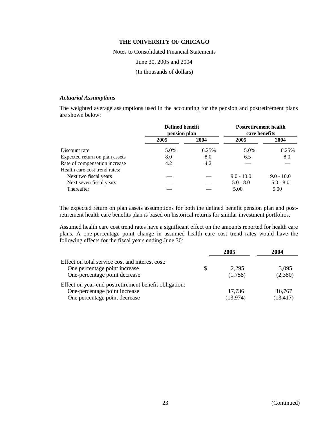Notes to Consolidated Financial Statements

June 30, 2005 and 2004

(In thousands of dollars)

#### *Actuarial Assumptions*

The weighted average assumptions used in the accounting for the pension and postretirement plans are shown below:

|                                | Defined benefit<br>pension plan |       | <b>Postretirement health</b><br>care benefits |              |
|--------------------------------|---------------------------------|-------|-----------------------------------------------|--------------|
|                                | 2005                            | 2004  | 2005                                          | 2004         |
| Discount rate                  | 5.0%                            | 6.25% | 5.0%                                          | 6.25%        |
| Expected return on plan assets | 8.0                             | 8.0   | 6.5                                           | 8.0          |
| Rate of compensation increase  | 4.2                             | 4.2   |                                               |              |
| Health care cost trend rates:  |                                 |       |                                               |              |
| Next two fiscal years          |                                 |       | $9.0 - 10.0$                                  | $9.0 - 10.0$ |
| Next seven fiscal years        |                                 |       | $5.0 - 8.0$                                   | $5.0 - 8.0$  |
| Thereafter                     |                                 |       | 5.00                                          | 5.00         |

The expected return on plan assets assumptions for both the defined benefit pension plan and postretirement health care benefits plan is based on historical returns for similar investment portfolios.

Assumed health care cost trend rates have a significant effect on the amounts reported for health care plans. A one-percentage point change in assumed health care cost trend rates would have the following effects for the fiscal years ending June 30:

|                                                                                                                         | 2005               | 2004                |
|-------------------------------------------------------------------------------------------------------------------------|--------------------|---------------------|
| Effect on total service cost and interest cost:<br>One percentage point increase<br>One-percentage point decrease       | 2.295<br>(1,758)   | 3,095<br>(2,380)    |
| Effect on year-end postretirement benefit obligation:<br>One-percentage point increase<br>One percentage point decrease | 17.736<br>(13,974) | 16,767<br>(13, 417) |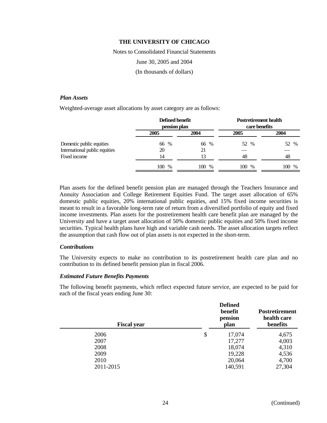Notes to Consolidated Financial Statements June 30, 2005 and 2004

(In thousands of dollars)

#### *Plan Assets*

Weighted-average asset allocations by asset category are as follows:

|                               | Defined benefit<br>pension plan |             | <b>Postretirement health</b><br>care benefits |                      |  |
|-------------------------------|---------------------------------|-------------|-----------------------------------------------|----------------------|--|
|                               | 2005                            | 2004        | 2005                                          | 2004                 |  |
| Domestic public equities      | 66 %                            | 66 %        | 52 %                                          | 52<br>$\%$           |  |
| International public equities | 20                              | 21          |                                               |                      |  |
| Fixed income                  | 14                              | 13          | 48                                            | 48                   |  |
|                               | 100<br>$\%$                     | 100<br>$\%$ | 100 %                                         | 100<br>$\frac{0}{0}$ |  |

Plan assets for the defined benefit pension plan are managed through the Teachers Insurance and Annuity Association and College Retirement Equities Fund. The target asset allocation of 65% domestic public equities, 20% international public equities, and 15% fixed income securities is meant to result in a favorable long-term rate of return from a diversified portfolio of equity and fixed income investments. Plan assets for the postretirement health care benefit plan are managed by the University and have a target asset allocation of 50% domestic public equities and 50% fixed income securities. Typical health plans have high and variable cash needs. The asset allocation targets reflect the assumption that cash flow out of plan assets is not expected in the short-term.

#### *Contributions*

The University expects to make no contribution to its postretirement health care plan and no contribution to its defined benefit pension plan in fiscal 2006.

#### *Estimated Future Benefits Payments*

The following benefit payments, which reflect expected future service, are expected to be paid for each of the fiscal years ending June 30:

| <b>Fiscal year</b> | <b>Defined</b><br>benefit<br>pension<br>plan | <b>Postretirement</b><br>health care<br>benefits |
|--------------------|----------------------------------------------|--------------------------------------------------|
| 2006               | \$<br>17,074                                 | 4,675                                            |
| 2007               | 17,277                                       | 4,003                                            |
| 2008               | 18,074                                       | 4,310                                            |
| 2009               | 19,228                                       | 4,536                                            |
| 2010               | 20,064                                       | 4,700                                            |
| 2011-2015          | 140,591                                      | 27,304                                           |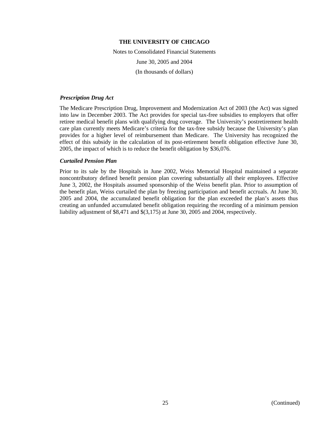Notes to Consolidated Financial Statements June 30, 2005 and 2004 (In thousands of dollars)

#### *Prescription Drug Act*

The Medicare Prescription Drug, Improvement and Modernization Act of 2003 (the Act) was signed into law in December 2003. The Act provides for special tax-free subsidies to employers that offer retiree medical benefit plans with qualifying drug coverage. The University's postretirement health care plan currently meets Medicare's criteria for the tax-free subsidy because the University's plan provides for a higher level of reimbursement than Medicare. The University has recognized the effect of this subsidy in the calculation of its post-retirement benefit obligation effective June 30, 2005, the impact of which is to reduce the benefit obligation by \$36,076.

#### *Curtailed Pension Plan*

Prior to its sale by the Hospitals in June 2002, Weiss Memorial Hospital maintained a separate noncontributory defined benefit pension plan covering substantially all their employees. Effective June 3, 2002, the Hospitals assumed sponsorship of the Weiss benefit plan. Prior to assumption of the benefit plan, Weiss curtailed the plan by freezing participation and benefit accruals. At June 30, 2005 and 2004, the accumulated benefit obligation for the plan exceeded the plan's assets thus creating an unfunded accumulated benefit obligation requiring the recording of a minimum pension liability adjustment of \$8,471 and \$(3,175) at June 30, 2005 and 2004, respectively.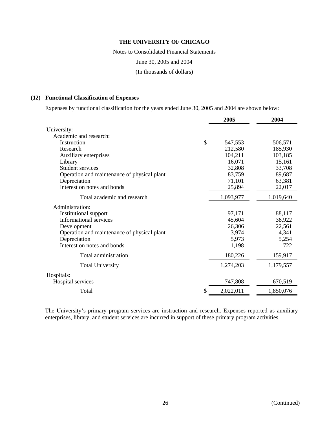Notes to Consolidated Financial Statements

June 30, 2005 and 2004

(In thousands of dollars)

#### **(12) Functional Classification of Expenses**

Expenses by functional classification for the years ended June 30, 2005 and 2004 are shown below:

|                                             | 2005      | 2004      |
|---------------------------------------------|-----------|-----------|
| University:                                 |           |           |
| Academic and research:                      |           |           |
| \$<br>Instruction                           | 547,553   | 506,571   |
| Research                                    | 212,580   | 185,930   |
| Auxiliary enterprises                       | 104,211   | 103,185   |
| Library                                     | 16,071    | 15,161    |
| Student services                            | 32,808    | 33,708    |
| Operation and maintenance of physical plant | 83,759    | 89,687    |
| Depreciation                                | 71,101    | 63,381    |
| Interest on notes and bonds                 | 25,894    | 22,017    |
| Total academic and research                 | 1,093,977 | 1,019,640 |
| Administration:                             |           |           |
| Institutional support                       | 97,171    | 88,117    |
| <b>Informational services</b>               | 45,604    | 38,922    |
| Development                                 | 26,306    | 22,561    |
| Operation and maintenance of physical plant | 3,974     | 4,341     |
| Depreciation                                | 5,973     | 5,254     |
| Interest on notes and bonds                 | 1,198     | 722       |
| Total administration                        | 180,226   | 159,917   |
| <b>Total University</b>                     | 1,274,203 | 1,179,557 |
| Hospitals:                                  |           |           |
| Hospital services                           | 747,808   | 670,519   |
| Total<br>S                                  | 2,022,011 | 1,850,076 |

The University's primary program services are instruction and research. Expenses reported as auxiliary enterprises, library, and student services are incurred in support of these primary program activities.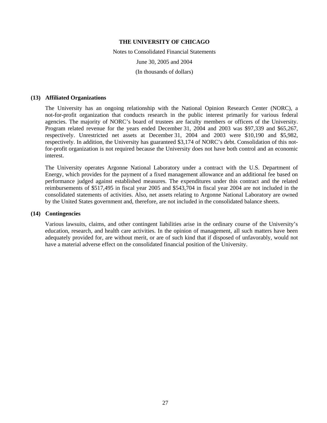Notes to Consolidated Financial Statements June 30, 2005 and 2004 (In thousands of dollars)

#### **(13) Affiliated Organizations**

The University has an ongoing relationship with the National Opinion Research Center (NORC), a not-for-profit organization that conducts research in the public interest primarily for various federal agencies. The majority of NORC's board of trustees are faculty members or officers of the University. Program related revenue for the years ended December 31, 2004 and 2003 was \$97,339 and \$65,267, respectively. Unrestricted net assets at December 31, 2004 and 2003 were \$10,190 and \$5,982, respectively. In addition, the University has guaranteed \$3,174 of NORC's debt. Consolidation of this notfor-profit organization is not required because the University does not have both control and an economic interest.

The University operates Argonne National Laboratory under a contract with the U.S. Department of Energy, which provides for the payment of a fixed management allowance and an additional fee based on performance judged against established measures. The expenditures under this contract and the related reimbursements of \$517,495 in fiscal year 2005 and \$543,704 in fiscal year 2004 are not included in the consolidated statements of activities. Also, net assets relating to Argonne National Laboratory are owned by the United States government and, therefore, are not included in the consolidated balance sheets.

#### **(14) Contingencies**

Various lawsuits, claims, and other contingent liabilities arise in the ordinary course of the University's education, research, and health care activities. In the opinion of management, all such matters have been adequately provided for, are without merit, or are of such kind that if disposed of unfavorably, would not have a material adverse effect on the consolidated financial position of the University.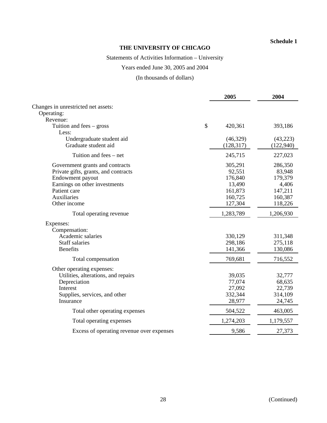### **Schedule 1**

## **THE UNIVERSITY OF CHICAGO**

## Statements of Activities Information – University

## Years ended June 30, 2005 and 2004

## (In thousands of dollars)

|                                           | 2005          | 2004      |
|-------------------------------------------|---------------|-----------|
| Changes in unrestricted net assets:       |               |           |
| Operating:                                |               |           |
| Revenue:                                  |               |           |
| Tuition and fees - gross                  | \$<br>420,361 | 393,186   |
| Less:                                     |               |           |
| Undergraduate student aid                 | (46,329)      | (43,223)  |
| Graduate student aid                      | (128, 317)    | (122,940) |
| Tuition and fees – net                    | 245,715       | 227,023   |
| Government grants and contracts           | 305,291       | 286,350   |
| Private gifts, grants, and contracts      | 92,551        | 83,948    |
| Endowment payout                          | 176,840       | 179,379   |
| Earnings on other investments             | 13,490        | 4,406     |
| Patient care                              | 161,873       | 147,211   |
| Auxiliaries                               | 160,725       | 160,387   |
| Other income                              | 127,304       | 118,226   |
| Total operating revenue                   | 1,283,789     | 1,206,930 |
| Expenses:                                 |               |           |
| Compensation:                             |               |           |
| Academic salaries                         | 330,129       | 311,348   |
| <b>Staff salaries</b>                     | 298,186       | 275,118   |
| <b>Benefits</b>                           | 141,366       | 130,086   |
| Total compensation                        | 769,681       | 716,552   |
| Other operating expenses:                 |               |           |
| Utilities, alterations, and repairs       | 39,035        | 32,777    |
| Depreciation                              | 77,074        | 68,635    |
| Interest                                  | 27,092        | 22,739    |
| Supplies, services, and other             | 332,344       | 314,109   |
| Insurance                                 | 28,977        | 24,745    |
| Total other operating expenses            | 504,522       | 463,005   |
| Total operating expenses                  | 1,274,203     | 1,179,557 |
| Excess of operating revenue over expenses | 9,586         | 27,373    |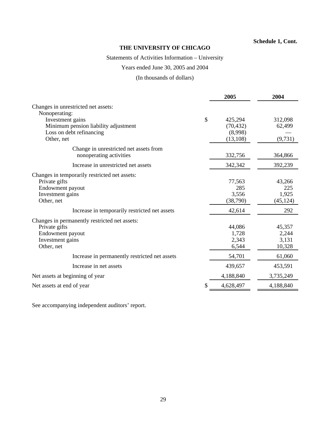## **Schedule 1, Cont.**

## **THE UNIVERSITY OF CHICAGO**

## Statements of Activities Information – University

## Years ended June 30, 2005 and 2004

## (In thousands of dollars)

|                                                                                                                      |               | 2005                              | 2004                               |
|----------------------------------------------------------------------------------------------------------------------|---------------|-----------------------------------|------------------------------------|
| Changes in unrestricted net assets:<br>Nonoperating:                                                                 |               |                                   |                                    |
| Investment gains<br>Minimum pension liability adjustment                                                             | $\mathcal{S}$ | 425,294<br>(70, 432)              | 312,098<br>62,499                  |
| Loss on debt refinancing<br>Other, net                                                                               |               | (8,998)<br>(13, 108)              | (9, 731)                           |
| Change in unrestricted net assets from<br>nonoperating activities                                                    |               | 332,756                           | 364,866                            |
| Increase in unrestricted net assets                                                                                  |               | 342,342                           | 392,239                            |
| Changes in temporarily restricted net assets:<br>Private gifts<br>Endowment payout<br>Investment gains               |               | 77,563<br>285<br>3,556            | 43,266<br>225<br>1,925             |
| Other, net<br>Increase in temporarily restricted net assets                                                          |               | (38,790)<br>42,614                | (45, 124)<br>292                   |
| Changes in permanently restricted net assets:<br>Private gifts<br>Endowment payout<br>Investment gains<br>Other, net |               | 44,086<br>1,728<br>2,343<br>6,544 | 45,357<br>2,244<br>3,131<br>10,328 |
| Increase in permanently restricted net assets                                                                        |               | 54,701                            | 61,060                             |
| Increase in net assets                                                                                               |               | 439,657                           | 453,591                            |
| Net assets at beginning of year                                                                                      |               | 4,188,840                         | 3,735,249                          |
| Net assets at end of year                                                                                            | S             | 4,628,497                         | 4,188,840                          |

See accompanying independent auditors' report.